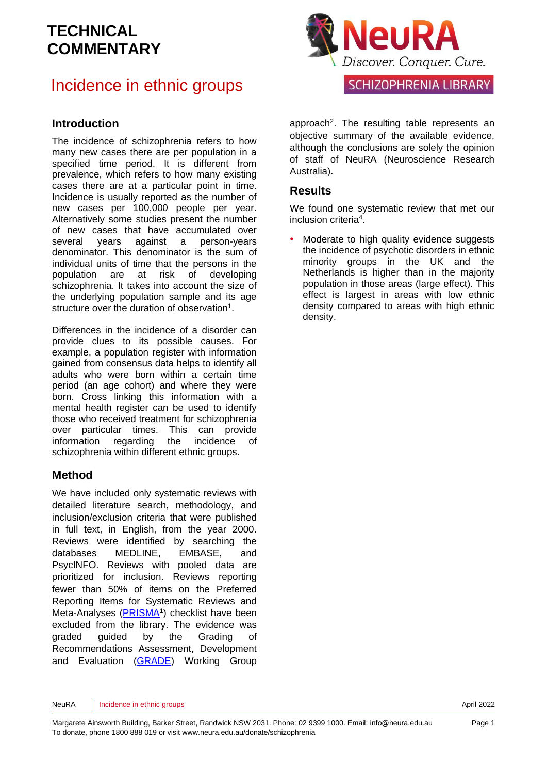### Incidence in ethnic groups

#### **Introduction**

The incidence of schizophrenia refers to how many new cases there are per population in a specified time period. It is different from prevalence, which refers to how many existing cases there are at a particular point in time. Incidence is usually reported as the number of new cases per 100,000 people per year. Alternatively some studies present the number of new cases that have accumulated over several years against a person-years denominator. This denominator is the sum of individual units of time that the persons in the population are at risk of developing schizophrenia. It takes into account the size of the underlying population sample and its age structure over the duration of observation<sup>[1](#page-5-0)</sup>.

Differences in the incidence of a disorder can provide clues to its possible causes. For example, a population register with information gained from consensus data helps to identify all adults who were born within a certain time period (an age cohort) and where they were born. Cross linking this information with a mental health register can be used to identify those who received treatment for schizophrenia over particular times. This can provide information regarding the incidence of schizophrenia within different ethnic groups.

#### **Method**

We have included only systematic reviews with detailed literature search, methodology, and inclusion/exclusion criteria that were published in full text, in English, from the year 2000. Reviews were identified by searching the databases MEDLINE, EMBASE, and PsycINFO. Reviews with pooled data are prioritized for inclusion. Reviews reporting fewer than 50% of items on the Preferred Reporting Items for Systematic Reviews and Meta-Analyses [\(PRISMA](http://www.prisma-statement.org/)<sup>[1](#page-5-0)</sup>) checklist have been excluded from the library. The evidence was graded guided by the Grading of Recommendations Assessment, Development and Evaluation [\(GRADE\)](http://www.gradeworkinggroup.org/) Working Group



approach<sup>[2](#page-5-1)</sup>. The resulting table represents an objective summary of the available evidence, although the conclusions are solely the opinion of staff of NeuRA (Neuroscience Research Australia).

#### **Results**

We found one systematic review that met our inclusion criteri[a](#page-5-2)<sup>4</sup> .

Moderate to high quality evidence suggests the incidence of psychotic disorders in ethnic minority groups in the UK and the Netherlands is higher than in the majority population in those areas (large effect). This effect is largest in areas with low ethnic density compared to areas with high ethnic density.

NeuRA Incidence in ethnic groups **April 2022**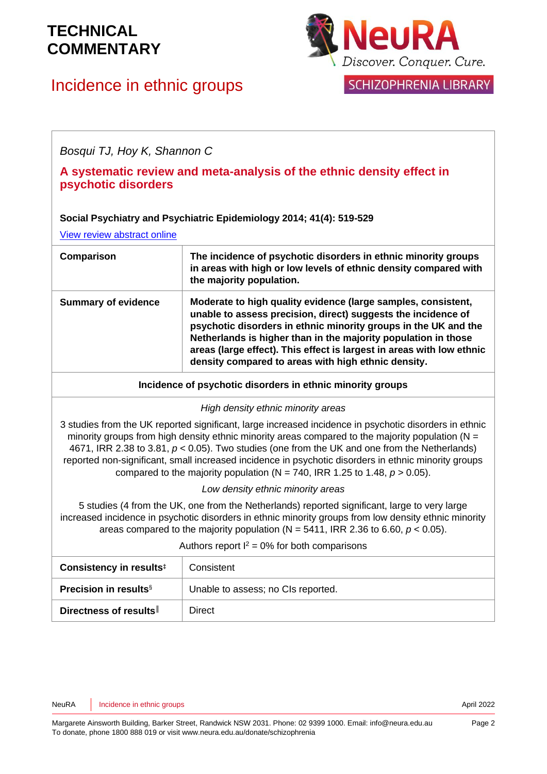# Incidence in ethnic groups



**SCHIZOPHRENIA LIBRARY** 

*Bosqui TJ, Hoy K, Shannon C*

#### **A systematic review and meta-analysis of the ethnic density effect in psychotic disorders**

#### **Social Psychiatry and Psychiatric Epidemiology 2014; 41(4): 519-529**

[View review abstract online](http://www.ncbi.nlm.nih.gov/pubmed/24114240)

| Comparison                 | The incidence of psychotic disorders in ethnic minority groups<br>in areas with high or low levels of ethnic density compared with<br>the majority population.                                                                                                                                                                                                                                      |
|----------------------------|-----------------------------------------------------------------------------------------------------------------------------------------------------------------------------------------------------------------------------------------------------------------------------------------------------------------------------------------------------------------------------------------------------|
| <b>Summary of evidence</b> | Moderate to high quality evidence (large samples, consistent,<br>unable to assess precision, direct) suggests the incidence of<br>psychotic disorders in ethnic minority groups in the UK and the<br>Netherlands is higher than in the majority population in those<br>areas (large effect). This effect is largest in areas with low ethnic<br>density compared to areas with high ethnic density. |

**Incidence of psychotic disorders in ethnic minority groups**

*High density ethnic minority areas*

3 studies from the UK reported significant, large increased incidence in psychotic disorders in ethnic minority groups from high density ethnic minority areas compared to the majority population ( $N =$ 4671, IRR 2.38 to 3.81, *p* < 0.05). Two studies (one from the UK and one from the Netherlands) reported non-significant, small increased incidence in psychotic disorders in ethnic minority groups compared to the majority population ( $N = 740$ , IRR 1.25 to 1.48,  $p > 0.05$ ).

*Low density ethnic minority areas*

5 studies (4 from the UK, one from the Netherlands) reported significant, large to very large increased incidence in psychotic disorders in ethnic minority groups from low density ethnic minority areas compared to the majority population ( $N = 5411$ , IRR 2.36 to 6.60,  $p < 0.05$ ).

#### Authors report  $I^2 = 0\%$  for both comparisons

| Consistency in results <sup>‡</sup>      | Consistent                         |
|------------------------------------------|------------------------------------|
| <b>Precision in results</b> <sup>§</sup> | Unable to assess; no CIs reported. |
| Directness of results                    | Direct                             |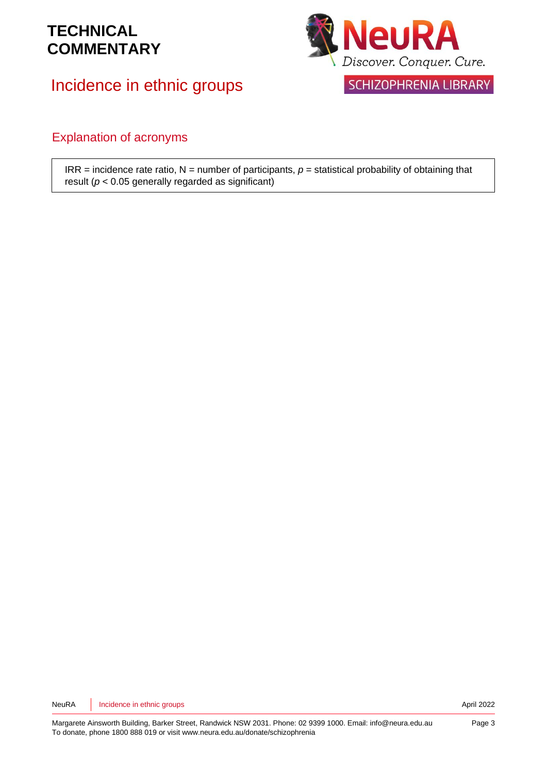Incidence in ethnic groups



#### Explanation of acronyms

 $IRR = incidence rate ratio, N = number of participants, p = statistical probability of obtaining that$ result (*p* < 0.05 generally regarded as significant)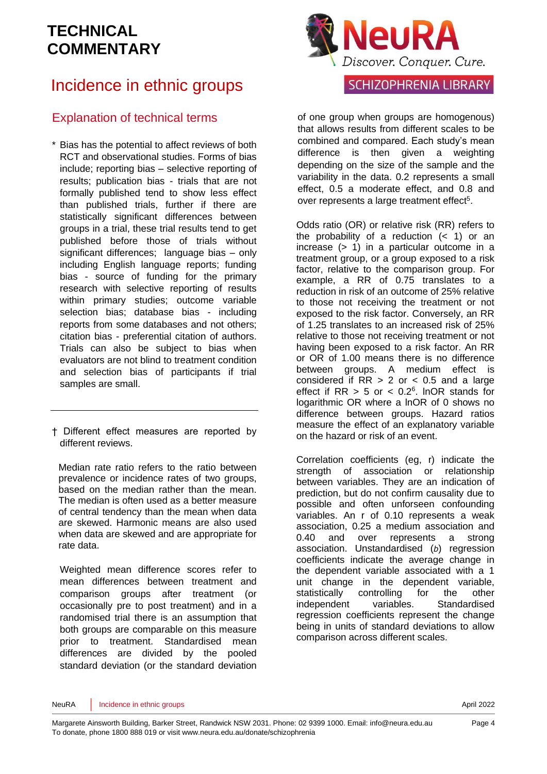# Incidence in ethnic groups

### Explanation of technical terms

- \* Bias has the potential to affect reviews of both RCT and observational studies. Forms of bias include; reporting bias – selective reporting of results; publication bias - trials that are not formally published tend to show less effect than published trials, further if there are statistically significant differences between groups in a trial, these trial results tend to get published before those of trials without significant differences; language bias – only including English language reports; funding bias - source of funding for the primary research with selective reporting of results within primary studies; outcome variable selection bias; database bias - including reports from some databases and not others; citation bias - preferential citation of authors. Trials can also be subject to bias when evaluators are not blind to treatment condition and selection bias of participants if trial samples are small.
- † Different effect measures are reported by different reviews.

Median rate ratio refers to the ratio between prevalence or incidence rates of two groups, based on the median rather than the mean. The median is often used as a better measure of central tendency than the mean when data are skewed. Harmonic means are also used when data are skewed and are appropriate for rate data.

Weighted mean difference scores refer to mean differences between treatment and comparison groups after treatment (or occasionally pre to post treatment) and in a randomised trial there is an assumption that both groups are comparable on this measure prior to treatment. Standardised mean differences are divided by the pooled standard deviation (or the standard deviation



#### **SCHIZOPHRENIA LIBRARY**

of one group when groups are homogenous) that allows results from different scales to be combined and compared. Each study's mean difference is then given a weighting depending on the size of the sample and the variability in the data. 0.2 represents a small effect, 0.5 a moderate effect, and 0.8 and over represents a large treatment effect<sup>[5](#page-5-3)</sup>.

Odds ratio (OR) or relative risk (RR) refers to the probability of a reduction  $($   $<$  1) or an increase (> 1) in a particular outcome in a treatment group, or a group exposed to a risk factor, relative to the comparison group. For example, a RR of 0.75 translates to a reduction in risk of an outcome of 25% relative to those not receiving the treatment or not exposed to the risk factor. Conversely, an RR of 1.25 translates to an increased risk of 25% relative to those not receiving treatment or not having been exposed to a risk factor. An RR or OR of 1.00 means there is no difference between groups. A medium effect is considered if  $RR > 2$  or  $< 0.5$  and a large effect if  $RR > 5$  or  $< 0.2<sup>6</sup>$  $< 0.2<sup>6</sup>$  $< 0.2<sup>6</sup>$ . InOR stands for logarithmic OR where a lnOR of 0 shows no difference between groups. Hazard ratios measure the effect of an explanatory variable on the hazard or risk of an event.

Correlation coefficients (eg, r) indicate the strength of association or relationship between variables. They are an indication of prediction, but do not confirm causality due to possible and often unforseen confounding variables. An r of 0.10 represents a weak association, 0.25 a medium association and 0.40 and over represents a strong association. Unstandardised (*b*) regression coefficients indicate the average change in the dependent variable associated with a 1 unit change in the dependent variable, statistically controlling for the other independent variables. Standardised regression coefficients represent the change being in units of standard deviations to allow comparison across different scales.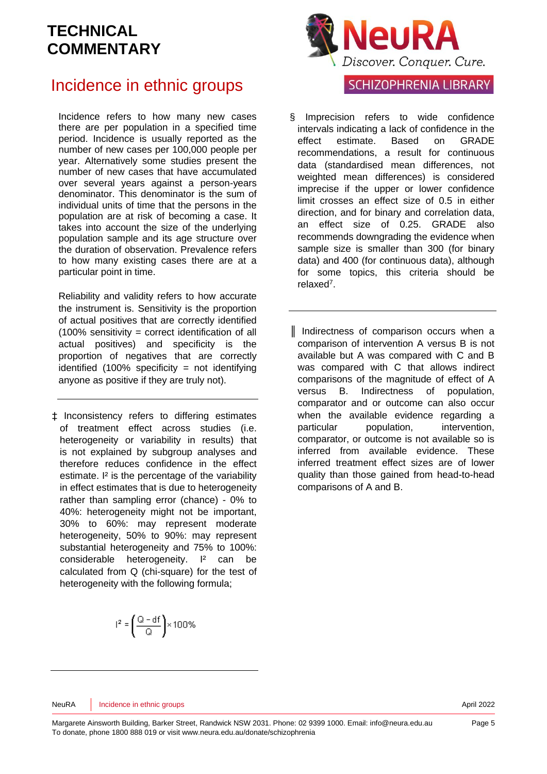### Incidence in ethnic groups

Incidence refers to how many new cases there are per population in a specified time period. Incidence is usually reported as the number of new cases per 100,000 people per year. Alternatively some studies present the number of new cases that have accumulated over several years against a person-years denominator. This denominator is the sum of individual units of time that the persons in the population are at risk of becoming a case. It takes into account the size of the underlying population sample and its age structure over the duration of observation. Prevalence refers to how many existing cases there are at a particular point in time.

Reliability and validity refers to how accurate the instrument is. Sensitivity is the proportion of actual positives that are correctly identified (100% sensitivity = correct identification of all actual positives) and specificity is the proportion of negatives that are correctly identified  $(100\%$  specificity = not identifying anyone as positive if they are truly not).

‡ Inconsistency refers to differing estimates of treatment effect across studies (i.e. heterogeneity or variability in results) that is not explained by subgroup analyses and therefore reduces confidence in the effect estimate. I² is the percentage of the variability in effect estimates that is due to heterogeneity rather than sampling error (chance) - 0% to 40%: heterogeneity might not be important, 30% to 60%: may represent moderate heterogeneity, 50% to 90%: may represent substantial heterogeneity and 75% to 100%: considerable heterogeneity. I² can be calculated from Q (chi-square) for the test of heterogeneity with the following formula;

$$
r^2 = \left(\frac{Q - df}{Q}\right) \times 100\%
$$



#### **SCHIZOPHRENIA LIBRARY**

- Imprecision refers to wide confidence intervals indicating a lack of confidence in the effect estimate. Based on GRADE recommendations, a result for continuous data (standardised mean differences, not weighted mean differences) is considered imprecise if the upper or lower confidence limit crosses an effect size of 0.5 in either direction, and for binary and correlation data, an effect size of 0.25. GRADE also recommends downgrading the evidence when sample size is smaller than 300 (for binary data) and 400 (for continuous data), although for some topics, this criteria should be relaxe[d](#page-5-5)<sup>7</sup> .
- ║ Indirectness of comparison occurs when a comparison of intervention A versus B is not available but A was compared with C and B was compared with C that allows indirect comparisons of the magnitude of effect of A versus B. Indirectness of population, comparator and or outcome can also occur when the available evidence regarding a particular population, intervention, comparator, or outcome is not available so is inferred from available evidence. These inferred treatment effect sizes are of lower quality than those gained from head-to-head comparisons of A and B.

#### NeuRA Incidence in ethnic groups **April 2022**

Margarete Ainsworth Building, Barker Street, Randwick NSW 2031. Phone: 02 9399 1000. Email: info@neura.edu.au To donate, phone 1800 888 019 or visit www.neura.edu.au/donate/schizophrenia